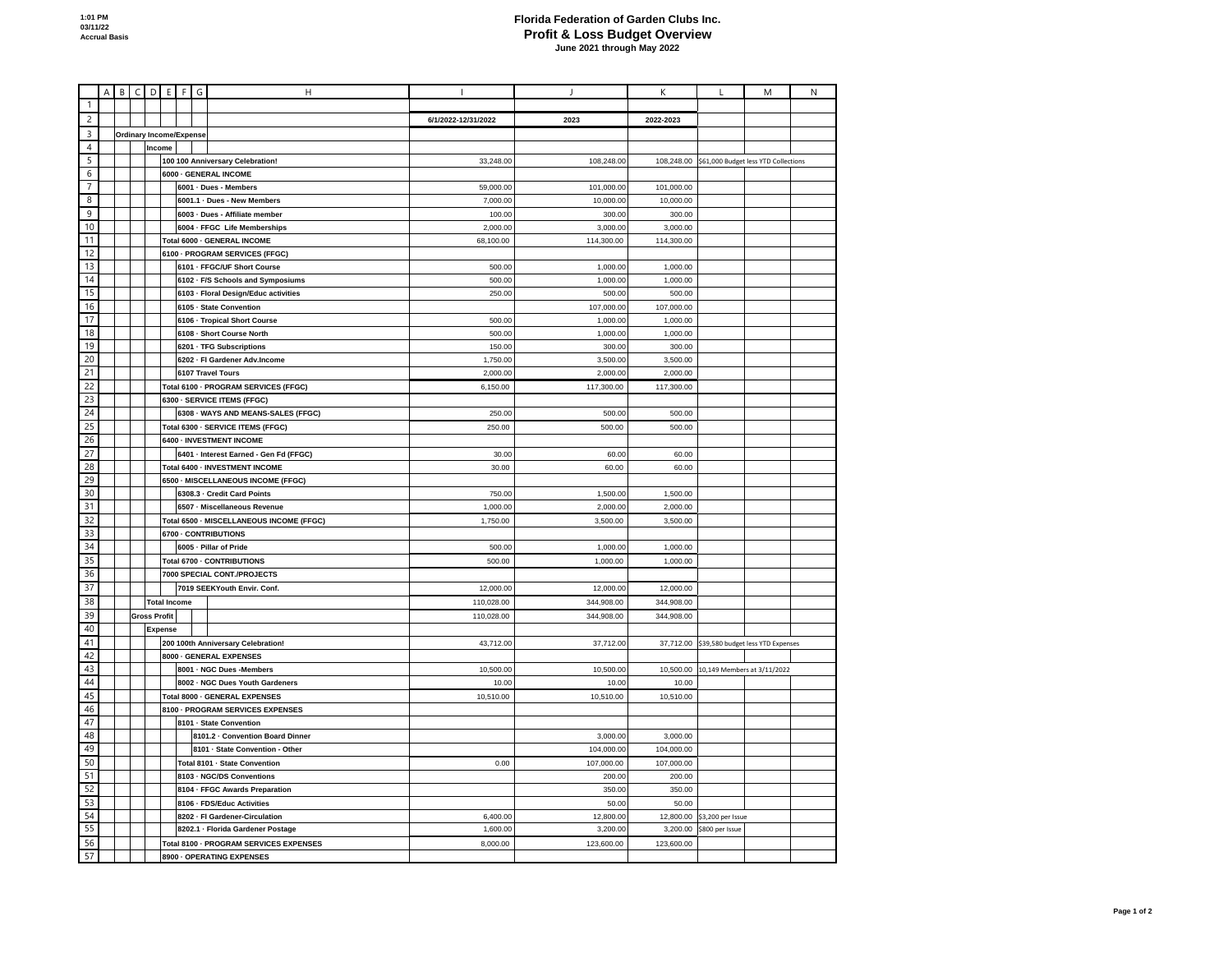## **Florida Federation of Garden Clubs Inc. Profit & Loss Budget Overview**<br>June 2021 through May 2022

|                 | $\overline{A}$                  | B | $\mathsf C$ |                         |  | $D$ E F                        | G | H                                        |                     | $\overline{1}$ | К          | L                                           | М | ${\sf N}$ |
|-----------------|---------------------------------|---|-------------|-------------------------|--|--------------------------------|---|------------------------------------------|---------------------|----------------|------------|---------------------------------------------|---|-----------|
| $\mathbf{1}$    |                                 |   |             |                         |  |                                |   |                                          |                     |                |            |                                             |   |           |
| $\overline{c}$  |                                 |   |             |                         |  |                                |   |                                          | 6/1/2022-12/31/2022 | 2023           | 2022-2023  |                                             |   |           |
| 3               |                                 |   |             |                         |  | <b>Ordinary Income/Expense</b> |   |                                          |                     |                |            |                                             |   |           |
| $\overline{4}$  |                                 |   |             | Income                  |  |                                |   |                                          |                     |                |            |                                             |   |           |
| 5               |                                 |   |             |                         |  |                                |   | 100 100 Anniversary Celebration!         | 33,248.00           | 108,248.00     | 108,248.00 | \$61,000 Budget less YTD Collections        |   |           |
| 6               |                                 |   |             |                         |  |                                |   | 6000 - GENERAL INCOME                    |                     |                |            |                                             |   |           |
| $\overline{7}$  |                                 |   |             |                         |  |                                |   | 6001 · Dues - Members                    | 59,000.00           | 101,000.00     | 101,000.00 |                                             |   |           |
| 8               |                                 |   |             |                         |  |                                |   |                                          |                     |                |            |                                             |   |           |
| 9               |                                 |   |             |                         |  | 6001.1 · Dues - New Members    |   |                                          | 7,000.00            | 10,000.00      | 10,000.00  |                                             |   |           |
|                 |                                 |   |             |                         |  | 6003 - Dues - Affiliate member |   |                                          | 100.00              | 300.00         | 300.00     |                                             |   |           |
| 10              |                                 |   |             |                         |  |                                |   | 6004 - FFGC Life Memberships             | 2,000.00            | 3,000.00       | 3,000.00   |                                             |   |           |
| 11              |                                 |   |             |                         |  |                                |   | Total 6000 - GENERAL INCOME              | 68,100.00           | 114,300.00     | 114,300.00 |                                             |   |           |
| 12              |                                 |   |             |                         |  | 6100 - PROGRAM SERVICES (FFGC) |   |                                          |                     |                |            |                                             |   |           |
| 13              |                                 |   |             |                         |  |                                |   | 6101 - FFGC/UF Short Course              | 500.00              | 1,000.00       | 1,000.00   |                                             |   |           |
| 14              |                                 |   |             |                         |  |                                |   | 6102 - F/S Schools and Symposiums        | 500.00              | 1,000.00       | 1,000.00   |                                             |   |           |
| 15              |                                 |   |             |                         |  |                                |   | 6103 - Floral Design/Educ activities     | 250.00              | 500.00         | 500.00     |                                             |   |           |
| 16              |                                 |   |             |                         |  |                                |   | 6105 - State Convention                  |                     | 107,000.00     | 107,000.00 |                                             |   |           |
| 17              |                                 |   |             |                         |  |                                |   | 6106 - Tropical Short Course             | 500.00              | 1,000.00       | 1,000.00   |                                             |   |           |
| 18              |                                 |   |             |                         |  |                                |   | 6108 - Short Course North                | 500.00              | 1,000.00       | 1,000.00   |                                             |   |           |
| 19              |                                 |   |             |                         |  |                                |   | 6201 - TFG Subscriptions                 | 150.00              | 300.00         | 300.00     |                                             |   |           |
| 20              |                                 |   |             |                         |  |                                |   | 6202 - Fl Gardener Adv.Income            | 1,750.00            | 3,500.00       | 3,500.00   |                                             |   |           |
| 21              |                                 |   |             |                         |  |                                |   | 6107 Travel Tours                        | 2,000.00            | 2,000.00       | 2,000.00   |                                             |   |           |
| 22              |                                 |   |             |                         |  |                                |   | Total 6100 - PROGRAM SERVICES (FFGC)     | 6,150.00            | 117,300.00     | 117,300.00 |                                             |   |           |
| 23              |                                 |   |             |                         |  |                                |   | 6300 - SERVICE ITEMS (FFGC)              |                     |                |            |                                             |   |           |
| 24              |                                 |   |             |                         |  |                                |   | 6308 - WAYS AND MEANS-SALES (FFGC)       | 250.00              | 500.00         | 500.00     |                                             |   |           |
| $\overline{25}$ |                                 |   |             |                         |  |                                |   | Total 6300 - SERVICE ITEMS (FFGC)        | 250.00              | 500.00         | 500.00     |                                             |   |           |
| 26              |                                 |   |             |                         |  |                                |   | 6400 - INVESTMENT INCOME                 |                     |                |            |                                             |   |           |
| 27              |                                 |   |             |                         |  |                                |   | 6401 - Interest Earned - Gen Fd (FFGC)   | 30.00               | 60.00          | 60.00      |                                             |   |           |
| 28              |                                 |   |             |                         |  |                                |   | Total 6400 - INVESTMENT INCOME           | 30.00               | 60.00          | 60.00      |                                             |   |           |
| 29              |                                 |   |             |                         |  |                                |   | 6500 - MISCELLANEOUS INCOME (FFGC)       |                     |                |            |                                             |   |           |
| 30              |                                 |   |             |                         |  |                                |   | 6308.3 - Credit Card Points              | 750.00              | 1,500.00       | 1,500.00   |                                             |   |           |
| 31              |                                 |   |             |                         |  |                                |   | 6507 - Miscellaneous Revenue             | 1,000.00            | 2,000.00       | 2,000.00   |                                             |   |           |
|                 |                                 |   |             |                         |  |                                |   |                                          |                     |                |            |                                             |   |           |
| 32              |                                 |   |             |                         |  |                                |   | Total 6500 - MISCELLANEOUS INCOME (FFGC) | 1,750.00            | 3,500.00       | 3,500.00   |                                             |   |           |
| 33              |                                 |   |             |                         |  |                                |   | 6700 - CONTRIBUTIONS                     |                     |                |            |                                             |   |           |
| 34              |                                 |   |             |                         |  | 6005 - Pillar of Pride         |   |                                          | 500.00              | 1,000.00       | 1,000.00   |                                             |   |           |
| 35              |                                 |   |             |                         |  | Total 6700 - CONTRIBUTIONS     |   |                                          | 500.00              | 1,000.00       | 1,000.00   |                                             |   |           |
| 36              |                                 |   |             |                         |  |                                |   | 7000 SPECIAL CONT./PROJECTS              |                     |                |            |                                             |   |           |
| 37              |                                 |   |             |                         |  |                                |   | 7019 SEEKYouth Envir. Conf.              | 12,000.00           | 12,000.00      | 12,000.00  |                                             |   |           |
| 38              |                                 |   |             |                         |  | <b>Total Income</b>            |   |                                          | 110,028.00          | 344,908.00     | 344,908.00 |                                             |   |           |
| 39              |                                 |   |             | <b>Gross Profit</b>     |  |                                |   |                                          | 110,028.00          | 344,908.00     | 344,908.00 |                                             |   |           |
| 40              |                                 |   |             | <b>Expense</b>          |  |                                |   |                                          |                     |                |            |                                             |   |           |
| 41              |                                 |   |             |                         |  |                                |   | 200 100th Anniversary Celebration!       | 43,712.00           | 37,712.00      |            | 37,712.00 \$39,580 budget less YTD Expenses |   |           |
| 42              |                                 |   |             | 8000 - GENERAL EXPENSES |  |                                |   |                                          |                     |                |            |                                             |   |           |
| 43              |                                 |   |             |                         |  |                                |   | 8001 - NGC Dues -Members                 | 10,500.00           | 10,500.00      | 10,500.00  | 10,149 Members at 3/11/2022                 |   |           |
| 44              |                                 |   |             |                         |  |                                |   | 8002 - NGC Dues Youth Gardeners          | 10.00               | 10.00          | 10.00      |                                             |   |           |
| 45              |                                 |   |             |                         |  |                                |   | Total 8000 - GENERAL EXPENSES            | 10,510.00           | 10,510.00      | 10,510.00  |                                             |   |           |
| 46              |                                 |   |             |                         |  |                                |   | 8100 - PROGRAM SERVICES EXPENSES         |                     |                |            |                                             |   |           |
| 47              |                                 |   |             |                         |  |                                |   | 8101 - State Convention                  |                     |                |            |                                             |   |           |
| 48              |                                 |   |             |                         |  |                                |   | 8101.2 - Convention Board Dinner         |                     | 3,000.00       | 3,000.00   |                                             |   |           |
| 49              |                                 |   |             |                         |  |                                |   | 8101 - State Convention - Other          |                     | 104,000.00     | 104,000.00 |                                             |   |           |
| 50              |                                 |   |             |                         |  |                                |   | Total 8101 - State Convention            | 0.00                | 107,000.00     | 107,000.00 |                                             |   |           |
| 51              |                                 |   |             |                         |  |                                |   | 8103 - NGC/DS Conventions                |                     | 200.00         | 200.00     |                                             |   |           |
| 52              |                                 |   |             |                         |  |                                |   | 8104 - FFGC Awards Preparation           |                     | 350.00         | 350.00     |                                             |   |           |
| 53              |                                 |   |             |                         |  |                                |   | 8106 - FDS/Educ Activities               |                     | 50.00          | 50.00      |                                             |   |           |
| 54              |                                 |   |             |                         |  |                                |   | 8202 - Fl Gardener-Circulation           | 6,400.00            | 12,800.00      | 12,800.00  | \$3,200 per Issue                           |   |           |
| 55              |                                 |   |             |                         |  |                                |   | 8202.1 - Florida Gardener Postage        | 1,600.00            | 3,200.00       | 3,200.00   | \$800 per Issue                             |   |           |
| 56              |                                 |   |             |                         |  |                                |   | Total 8100 - PROGRAM SERVICES EXPENSES   | 8,000.00            | 123,600.00     | 123,600.00 |                                             |   |           |
|                 |                                 |   |             |                         |  |                                |   |                                          |                     |                |            |                                             |   |           |
|                 | 57<br>8900 - OPERATING EXPENSES |   |             |                         |  |                                |   |                                          |                     |                |            |                                             |   |           |